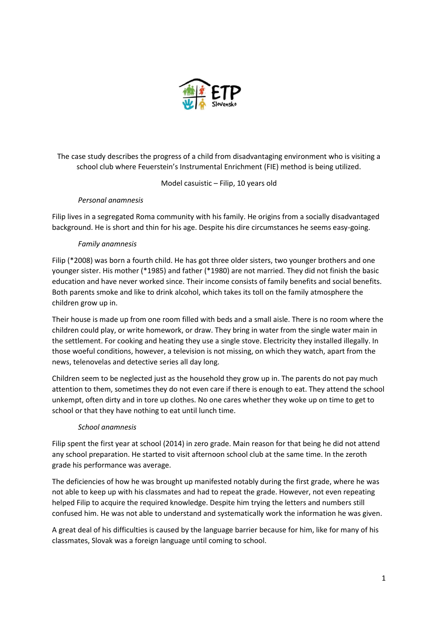

The case study describes the progress of a child from disadvantaging environment who is visiting a school club where Feuerstein's Instrumental Enrichment (FIE) method is being utilized.

Model casuistic – Filip, 10 years old

### *Personal anamnesis*

Filip lives in a segregated Roma community with his family. He origins from a socially disadvantaged background. He is short and thin for his age. Despite his dire circumstances he seems easy-going.

### *Family anamnesis*

Filip (\*2008) was born a fourth child. He has got three older sisters, two younger brothers and one younger sister. His mother (\*1985) and father (\*1980) are not married. They did not finish the basic education and have never worked since. Their income consists of family benefits and social benefits. Both parents smoke and like to drink alcohol, which takes its toll on the family atmosphere the children grow up in.

Their house is made up from one room filled with beds and a small aisle. There is no room where the children could play, or write homework, or draw. They bring in water from the single water main in the settlement. For cooking and heating they use a single stove. Electricity they installed illegally. In those woeful conditions, however, a television is not missing, on which they watch, apart from the news, telenovelas and detective series all day long.

Children seem to be neglected just as the household they grow up in. The parents do not pay much attention to them, sometimes they do not even care if there is enough to eat. They attend the school unkempt, often dirty and in tore up clothes. No one cares whether they woke up on time to get to school or that they have nothing to eat until lunch time.

### *School anamnesis*

Filip spent the first year at school (2014) in zero grade. Main reason for that being he did not attend any school preparation. He started to visit afternoon school club at the same time. In the zeroth grade his performance was average.

The deficiencies of how he was brought up manifested notably during the first grade, where he was not able to keep up with his classmates and had to repeat the grade. However, not even repeating helped Filip to acquire the required knowledge. Despite him trying the letters and numbers still confused him. He was not able to understand and systematically work the information he was given.

A great deal of his difficulties is caused by the language barrier because for him, like for many of his classmates, Slovak was a foreign language until coming to school.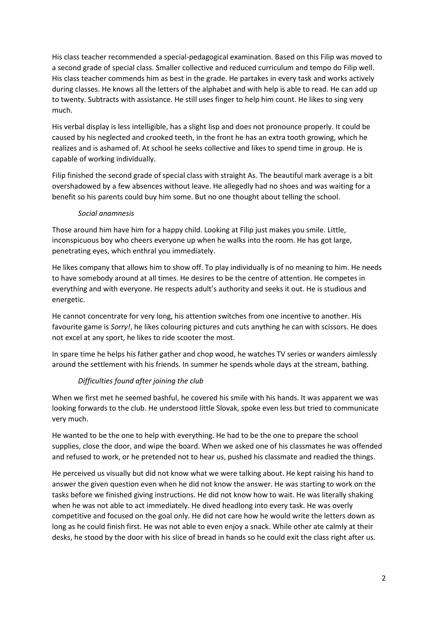His class teacher recommended a special-pedagogical examination. Based on this Filip was moved to a second grade of special class. Smaller collective and reduced curriculum and tempo do Filip well. His class teacher commends him as best in the grade. He partakes in every task and works actively during classes. He knows all the letters of the alphabet and with help is able to read. He can add up to twenty. Subtracts with assistance. He still uses finger to help him count. He likes to sing very much.

His verbal display is less intelligible, has a slight lisp and does not pronounce properly. It could be caused by his neglected and crooked teeth, in the front he has an extra tooth growing, which he realizes and is ashamed of. At school he seeks collective and likes to spend time in group. He is capable of working individually.

Filip finished the second grade of special class with straight As. The beautiful mark average is a bit overshadowed by a few absences without leave. He allegedly had no shoes and was waiting for a benefit so his parents could buy him some. But no one thought about telling the school.

### *Social anamnesis*

Those around him have him for a happy child. Looking at Filip just makes you smile. Little, inconspicuous boy who cheers everyone up when he walks into the room. He has got large, penetrating eyes, which enthral you immediately.

He likes company that allows him to show off. To play individually is of no meaning to him. He needs to have somebody around at all times. He desires to be the centre of attention. He competes in everything and with everyone. He respects adult's authority and seeks it out. He is studious and energetic.

He cannot concentrate for very long, his attention switches from one incentive to another. His favourite game is *Sorry!*, he likes colouring pictures and cuts anything he can with scissors. He does not excel at any sport, he likes to ride scooter the most.

In spare time he helps his father gather and chop wood, he watches TV series or wanders aimlessly around the settlement with his friends. In summer he spends whole days at the stream, bathing.

### *Difficulties found after joining the club*

When we first met he seemed bashful, he covered his smile with his hands. It was apparent we was looking forwards to the club. He understood little Slovak, spoke even less but tried to communicate very much.

He wanted to be the one to help with everything. He had to be the one to prepare the school supplies, close the door, and wipe the board. When we asked one of his classmates he was offended and refused to work, or he pretended not to hear us, pushed his classmate and readied the things.

He perceived us visually but did not know what we were talking about. He kept raising his hand to answer the given question even when he did not know the answer. He was starting to work on the tasks before we finished giving instructions. He did not know how to wait. He was literally shaking when he was not able to act immediately. He dived headlong into every task. He was overly competitive and focused on the goal only. He did not care how he would write the letters down as long as he could finish first. He was not able to even enjoy a snack. While other ate calmly at their desks, he stood by the door with his slice of bread in hands so he could exit the class right after us.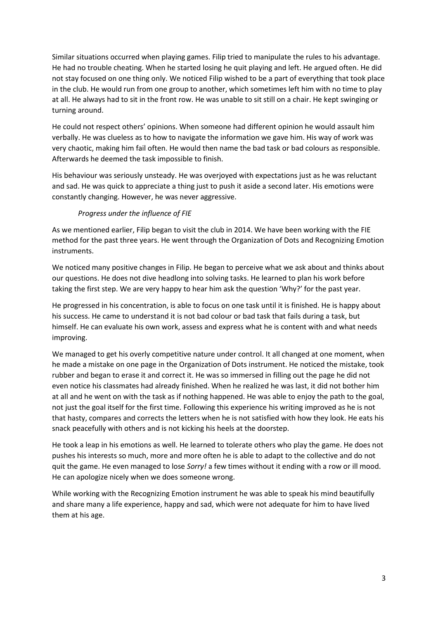Similar situations occurred when playing games. Filip tried to manipulate the rules to his advantage. He had no trouble cheating. When he started losing he quit playing and left. He argued often. He did not stay focused on one thing only. We noticed Filip wished to be a part of everything that took place in the club. He would run from one group to another, which sometimes left him with no time to play at all. He always had to sit in the front row. He was unable to sit still on a chair. He kept swinging or turning around.

He could not respect others' opinions. When someone had different opinion he would assault him verbally. He was clueless as to how to navigate the information we gave him. His way of work was very chaotic, making him fail often. He would then name the bad task or bad colours as responsible. Afterwards he deemed the task impossible to finish.

His behaviour was seriously unsteady. He was overjoyed with expectations just as he was reluctant and sad. He was quick to appreciate a thing just to push it aside a second later. His emotions were constantly changing. However, he was never aggressive.

# *Progress under the influence of FIE*

As we mentioned earlier, Filip began to visit the club in 2014. We have been working with the FIE method for the past three years. He went through the Organization of Dots and Recognizing Emotion instruments.

We noticed many positive changes in Filip. He began to perceive what we ask about and thinks about our questions. He does not dive headlong into solving tasks. He learned to plan his work before taking the first step. We are very happy to hear him ask the question 'Why?' for the past year.

He progressed in his concentration, is able to focus on one task until it is finished. He is happy about his success. He came to understand it is not bad colour or bad task that fails during a task, but himself. He can evaluate his own work, assess and express what he is content with and what needs improving.

We managed to get his overly competitive nature under control. It all changed at one moment, when he made a mistake on one page in the Organization of Dots instrument. He noticed the mistake, took rubber and began to erase it and correct it. He was so immersed in filling out the page he did not even notice his classmates had already finished. When he realized he was last, it did not bother him at all and he went on with the task as if nothing happened. He was able to enjoy the path to the goal, not just the goal itself for the first time. Following this experience his writing improved as he is not that hasty, compares and corrects the letters when he is not satisfied with how they look. He eats his snack peacefully with others and is not kicking his heels at the doorstep.

He took a leap in his emotions as well. He learned to tolerate others who play the game. He does not pushes his interests so much, more and more often he is able to adapt to the collective and do not quit the game. He even managed to lose *Sorry!* a few times without it ending with a row or ill mood. He can apologize nicely when we does someone wrong.

While working with the Recognizing Emotion instrument he was able to speak his mind beautifully and share many a life experience, happy and sad, which were not adequate for him to have lived them at his age.